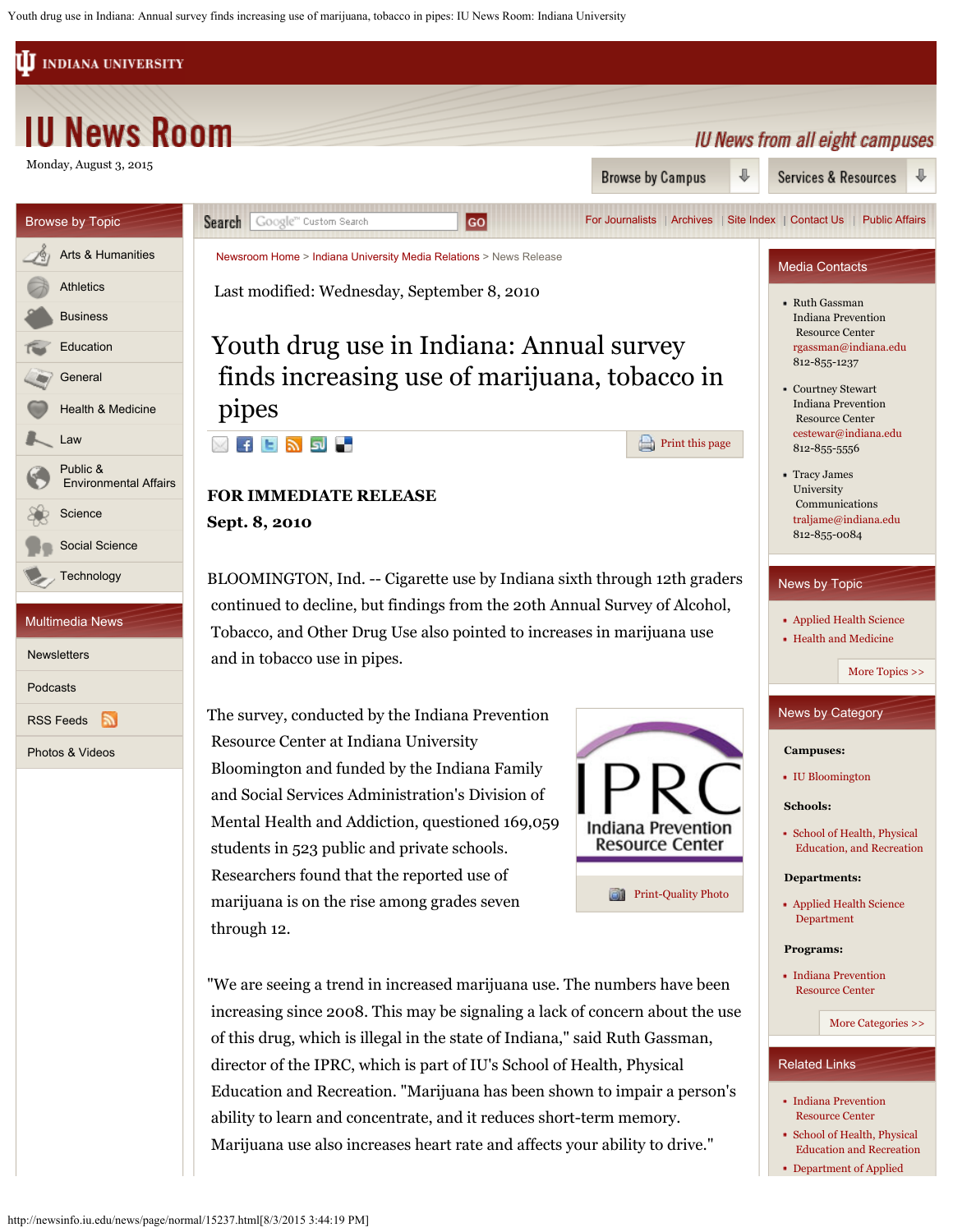Youth drug use in Indiana: Annual survey finds increasing use of marijuana, tobacco in pipes: IU News Room: Indiana University

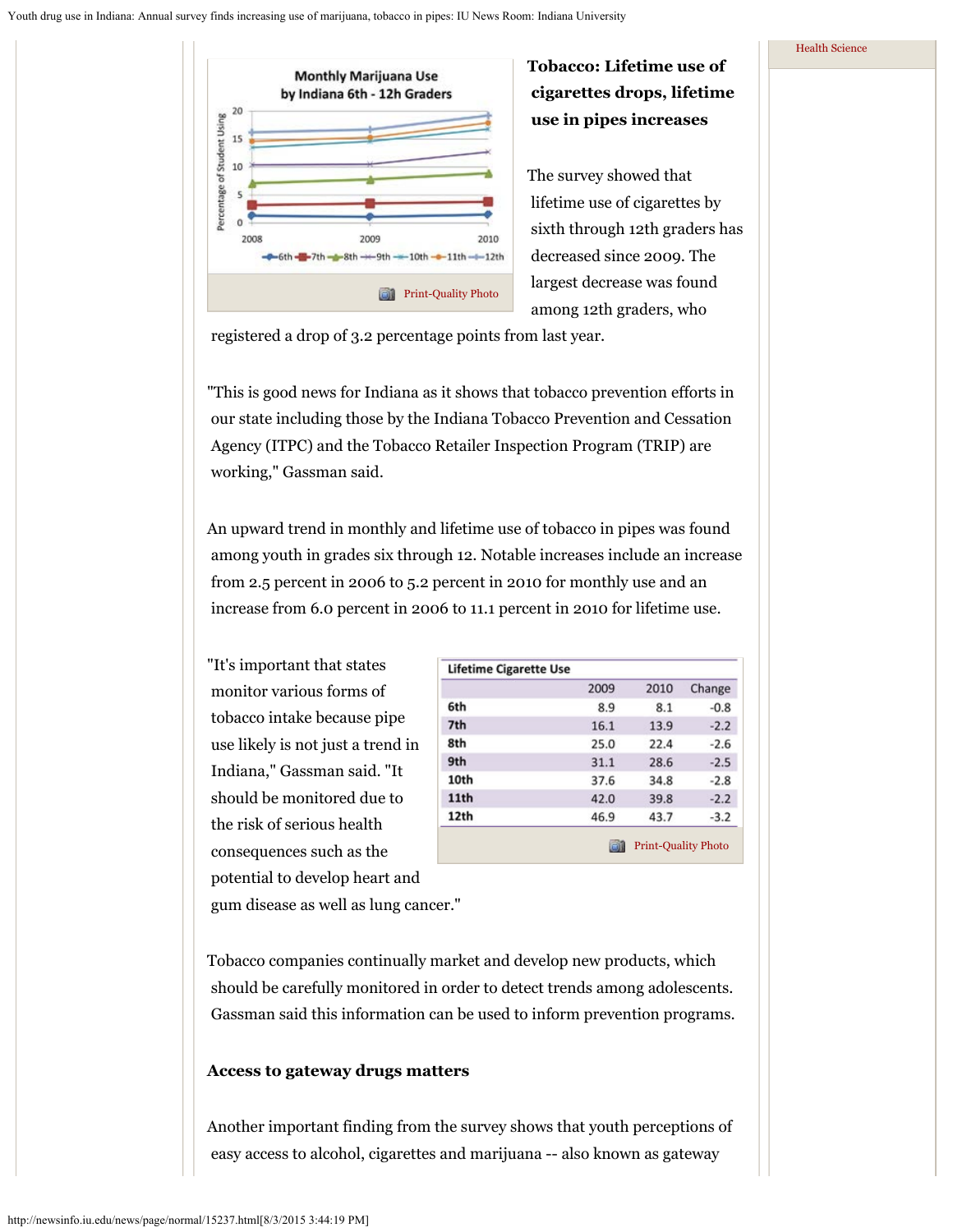

**Tobacco: Lifetime use of cigarettes drops, lifetime use in pipes increases**

The survey showed that lifetime use of cigarettes by sixth through 12th graders has decreased since 2009. The largest decrease was found among 12th graders, who

registered a drop of 3.2 percentage points from last year.

"This is good news for Indiana as it shows that tobacco prevention efforts in our state including those by the Indiana Tobacco Prevention and Cessation Agency (ITPC) and the Tobacco Retailer Inspection Program (TRIP) are working," Gassman said.

An upward trend in monthly and lifetime use of tobacco in pipes was found among youth in grades six through 12. Notable increases include an increase from 2.5 percent in 2006 to 5.2 percent in 2010 for monthly use and an increase from 6.0 percent in 2006 to 11.1 percent in 2010 for lifetime use.

"It's important that states monitor various forms of tobacco intake because pipe use likely is not just a trend in Indiana," Gassman said. "It should be monitored due to the risk of serious health consequences such as the potential to develop heart and

|      | 2009 | 2010 | Change |
|------|------|------|--------|
| 6th  | 8.9  | 8.1  | $-0.8$ |
| 7th  | 16.1 | 13.9 | $-2.2$ |
| 8th  | 25.0 | 22.4 | $-2.6$ |
| 9th  | 31.1 | 28.6 | $-2.5$ |
| 10th | 37.6 | 34.8 | $-2.8$ |
| 11th | 42.0 | 39.8 | $-2.2$ |
| 12th | 46.9 | 43.7 | $-3.2$ |

gum disease as well as lung cancer."

Tobacco companies continually market and develop new products, which should be carefully monitored in order to detect trends among adolescents. Gassman said this information can be used to inform prevention programs.

## **Access to gateway drugs matters**

Another important finding from the survey shows that youth perceptions of easy access to alcohol, cigarettes and marijuana -- also known as gateway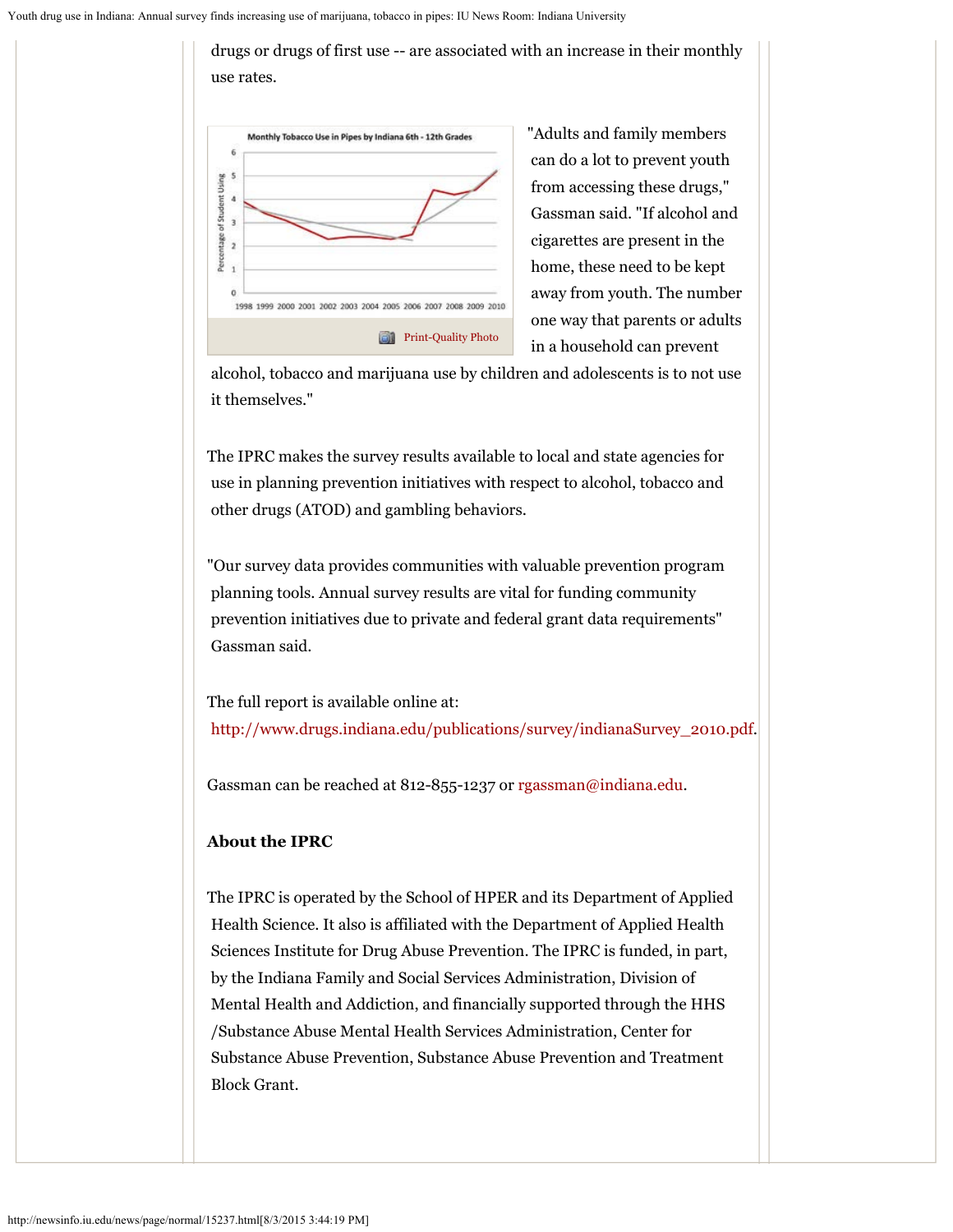

"Adults and family members can do a lot to prevent youth from accessing these drugs," Gassman said. "If alcohol and cigarettes are present in the home, these need to be kept away from youth. The number one way that parents or adults in a household can prevent

 alcohol, tobacco and marijuana use by children and adolescents is to not use it themselves."

drugs or drugs of first use -- are associated with an increase in their monthly

The IPRC makes the survey results available to local and state agencies for use in planning prevention initiatives with respect to alcohol, tobacco and other drugs (ATOD) and gambling behaviors.

"Our survey data provides communities with valuable prevention program planning tools. Annual survey results are vital for funding community prevention initiatives due to private and federal grant data requirements" Gassman said.

The full report is available online at: [http://www.drugs.indiana.edu/publications/survey/indianaSurvey\\_2010.pdf](http://www.drugs.indiana.edu/publications/survey/indianaSurvey_2010.pdf).

Gassman can be reached at 812-855-1237 or [rgassman@indiana.edu](mailto:rgassman@indiana.edu).

## **About the IPRC**

The IPRC is operated by the School of HPER and its Department of Applied Health Science. It also is affiliated with the Department of Applied Health Sciences Institute for Drug Abuse Prevention. The IPRC is funded, in part, by the Indiana Family and Social Services Administration, Division of Mental Health and Addiction, and financially supported through the HHS /Substance Abuse Mental Health Services Administration, Center for Substance Abuse Prevention, Substance Abuse Prevention and Treatment Block Grant.